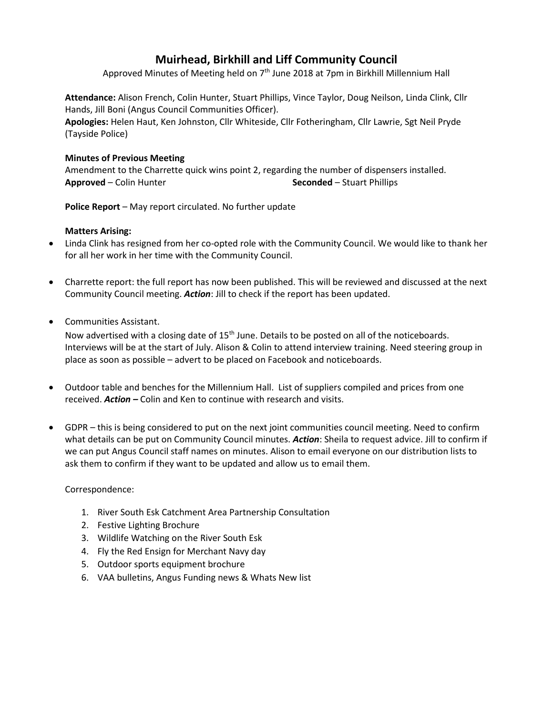# **Muirhead, Birkhill and Liff Community Council**

Approved Minutes of Meeting held on 7<sup>th</sup> June 2018 at 7pm in Birkhill Millennium Hall

**Attendance:** Alison French, Colin Hunter, Stuart Phillips, Vince Taylor, Doug Neilson, Linda Clink, Cllr Hands, Jill Boni (Angus Council Communities Officer).

**Apologies:** Helen Haut, Ken Johnston, Cllr Whiteside, Cllr Fotheringham, Cllr Lawrie, Sgt Neil Pryde (Tayside Police)

## **Minutes of Previous Meeting**

Amendment to the Charrette quick wins point 2, regarding the number of dispensers installed. **Approved** – Colin Hunter **Seconded** – Stuart Phillips

**Police Report** – May report circulated. No further update

### **Matters Arising:**

- Linda Clink has resigned from her co-opted role with the Community Council. We would like to thank her for all her work in her time with the Community Council.
- Charrette report: the full report has now been published. This will be reviewed and discussed at the next Community Council meeting. *Action*: Jill to check if the report has been updated.
- Communities Assistant.

Now advertised with a closing date of 15<sup>th</sup> June. Details to be posted on all of the noticeboards. Interviews will be at the start of July. Alison & Colin to attend interview training. Need steering group in place as soon as possible – advert to be placed on Facebook and noticeboards.

- Outdoor table and benches for the Millennium Hall. List of suppliers compiled and prices from one received. *Action –* Colin and Ken to continue with research and visits.
- GDPR this is being considered to put on the next joint communities council meeting. Need to confirm what details can be put on Community Council minutes. *Action*: Sheila to request advice. Jill to confirm if we can put Angus Council staff names on minutes. Alison to email everyone on our distribution lists to ask them to confirm if they want to be updated and allow us to email them.

Correspondence:

- 1. River South Esk Catchment Area Partnership Consultation
- 2. Festive Lighting Brochure
- 3. Wildlife Watching on the River South Esk
- 4. Fly the Red Ensign for Merchant Navy day
- 5. Outdoor sports equipment brochure
- 6. VAA bulletins, Angus Funding news & Whats New list